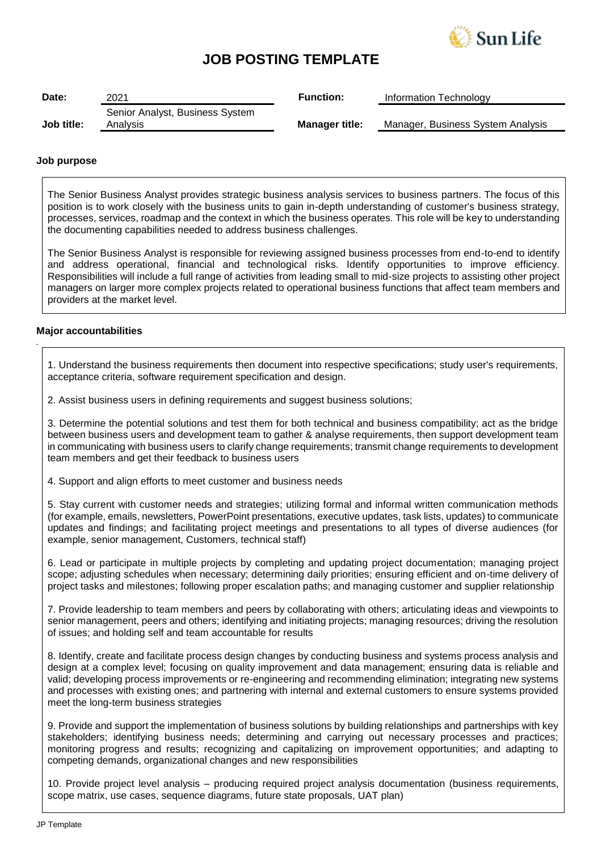

# **JOB POSTING TEMPLATE**

| Date:      | 2021                            | <b>Function:</b>      | Information Technology            |
|------------|---------------------------------|-----------------------|-----------------------------------|
|            | Senior Analyst, Business System |                       |                                   |
| Job title: | Analysis                        | <b>Manager title:</b> | Manager, Business System Analysis |

#### **Job purpose**

The Senior Business Analyst provides strategic business analysis services to business partners. The focus of this position is to work closely with the business units to gain in-depth understanding of customer's business strategy, processes, services, roadmap and the context in which the business operates. This role will be key to understanding the documenting capabilities needed to address business challenges.

The Senior Business Analyst is responsible for reviewing assigned business processes from end-to-end to identify and address operational, financial and technological risks. Identify opportunities to improve efficiency. Responsibilities will include a full range of activities from leading small to mid-size projects to assisting other project managers on larger more complex projects related to operational business functions that affect team members and providers at the market level.

### **Major accountabilities**

*.*

1. Understand the business requirements then document into respective specifications; study user's requirements, acceptance criteria, software requirement specification and design.

2. Assist business users in defining requirements and suggest business solutions;

3. Determine the potential solutions and test them for both technical and business compatibility; act as the bridge between business users and development team to gather & analyse requirements, then support development team in communicating with business users to clarify change requirements; transmit change requirements to development team members and get their feedback to business users

4. Support and align efforts to meet customer and business needs

5. Stay current with customer needs and strategies; utilizing formal and informal written communication methods (for example, emails, newsletters, PowerPoint presentations, executive updates, task lists, updates) to communicate updates and findings; and facilitating project meetings and presentations to all types of diverse audiences (for example, senior management, Customers, technical staff)

6. Lead or participate in multiple projects by completing and updating project documentation; managing project scope; adjusting schedules when necessary; determining daily priorities; ensuring efficient and on-time delivery of project tasks and milestones; following proper escalation paths; and managing customer and supplier relationship

7. Provide leadership to team members and peers by collaborating with others; articulating ideas and viewpoints to senior management, peers and others; identifying and initiating projects; managing resources; driving the resolution of issues; and holding self and team accountable for results

8. Identify, create and facilitate process design changes by conducting business and systems process analysis and design at a complex level; focusing on quality improvement and data management; ensuring data is reliable and valid; developing process improvements or re-engineering and recommending elimination; integrating new systems and processes with existing ones; and partnering with internal and external customers to ensure systems provided meet the long-term business strategies

9. Provide and support the implementation of business solutions by building relationships and partnerships with key stakeholders; identifying business needs; determining and carrying out necessary processes and practices; monitoring progress and results; recognizing and capitalizing on improvement opportunities; and adapting to competing demands, organizational changes and new responsibilities

10. Provide project level analysis – producing required project analysis documentation (business requirements, scope matrix, use cases, sequence diagrams, future state proposals, UAT plan)